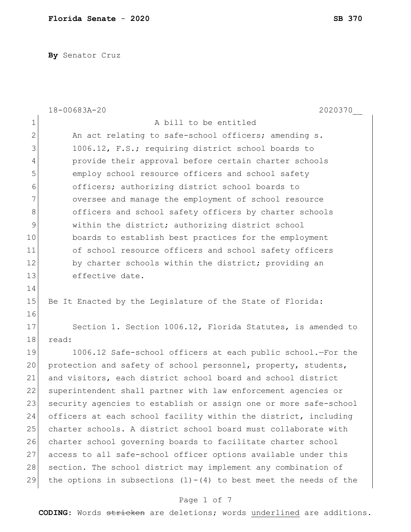**By** Senator Cruz

|                | 18-00683A-20<br>2020370                                            |
|----------------|--------------------------------------------------------------------|
| 1              | A bill to be entitled                                              |
| $\overline{2}$ | An act relating to safe-school officers; amending s.               |
| 3              | 1006.12, F.S.; requiring district school boards to                 |
| 4              | provide their approval before certain charter schools              |
| 5              | employ school resource officers and school safety                  |
| 6              | officers; authorizing district school boards to                    |
| 7              | oversee and manage the employment of school resource               |
| $\,8\,$        | officers and school safety officers by charter schools             |
| 9              | within the district; authorizing district school                   |
| 10             | boards to establish best practices for the employment              |
| 11             | of school resource officers and school safety officers             |
| 12             | by charter schools within the district; providing an               |
| 13             | effective date.                                                    |
| 14             |                                                                    |
| 15             | Be It Enacted by the Legislature of the State of Florida:          |
| 16             |                                                                    |
| 17             | Section 1. Section 1006.12, Florida Statutes, is amended to        |
| 18             | read:                                                              |
| 19             | 1006.12 Safe-school officers at each public school.-For the        |
| 20             | protection and safety of school personnel, property, students,     |
| 21             | and visitors, each district school board and school district       |
| 22             | superintendent shall partner with law enforcement agencies or      |
| 23             | security agencies to establish or assign one or more safe-school   |
| 24             | officers at each school facility within the district, including    |
| 25             | charter schools. A district school board must collaborate with     |
| 26             | charter school governing boards to facilitate charter school       |
| 27             | access to all safe-school officer options available under this     |
| 28             | section. The school district may implement any combination of      |
| 29             | the options in subsections $(1)-(4)$ to best meet the needs of the |
|                |                                                                    |

### Page 1 of 7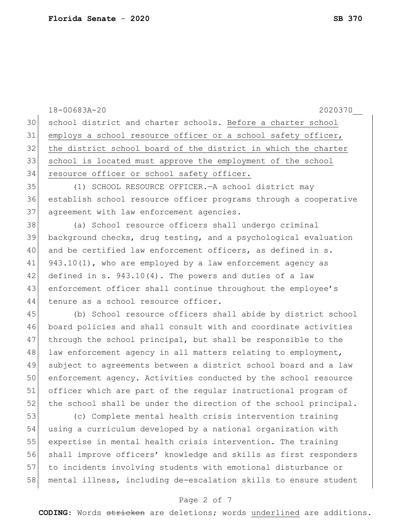18-00683A-20 2020370\_\_ 30 school district and charter schools. Before a charter school 31 employs a school resource officer or a school safety officer, 32 the district school board of the district in which the charter 33 school is located must approve the employment of the school 34 resource officer or school safety officer. 35 (1) SCHOOL RESOURCE OFFICER.—A school district may 36 establish school resource officer programs through a cooperative 37 agreement with law enforcement agencies. 38 (a) School resource officers shall undergo criminal 39 background checks, drug testing, and a psychological evaluation 40 and be certified law enforcement officers, as defined in s. 41 943.10(1), who are employed by a law enforcement agency as 42 defined in s.  $943.10(4)$ . The powers and duties of a law 43 enforcement officer shall continue throughout the employee's 44 tenure as a school resource officer. 45 (b) School resource officers shall abide by district school 46 board policies and shall consult with and coordinate activities 47 through the school principal, but shall be responsible to the 48 law enforcement agency in all matters relating to employment, 49 subject to agreements between a district school board and a law 50 enforcement agency. Activities conducted by the school resource 51 officer which are part of the regular instructional program of 52 the school shall be under the direction of the school principal. 53 (c) Complete mental health crisis intervention training 54 using a curriculum developed by a national organization with 55 expertise in mental health crisis intervention. The training 56 shall improve officers' knowledge and skills as first responders 57 to incidents involving students with emotional disturbance or 58 mental illness, including de-escalation skills to ensure student

### Page 2 of 7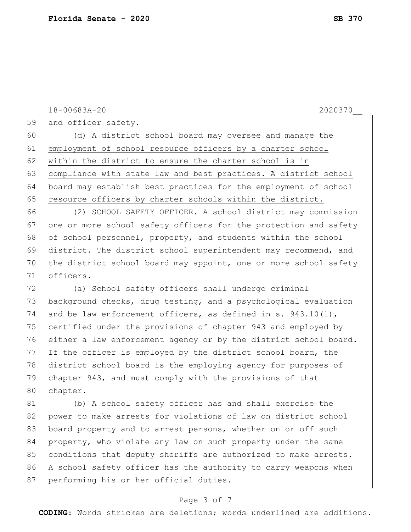59 and officer safety. 60 (d) A district school board may oversee and manage the 61 employment of school resource officers by a charter school 62 | within the district to ensure the charter school is in 63 compliance with state law and best practices. A district school 64 board may establish best practices for the employment of school 65 resource officers by charter schools within the district. 66 (2) SCHOOL SAFETY OFFICER.—A school district may commission 67 one or more school safety officers for the protection and safety 68 of school personnel, property, and students within the school 69 district. The district school superintendent may recommend, and 70 the district school board may appoint, one or more school safety 71 officers. 72 (a) School safety officers shall undergo criminal

18-00683A-20 2020370\_\_

73 background checks, drug testing, and a psychological evaluation 74 and be law enforcement officers, as defined in s.  $943.10(1)$ , certified under the provisions of chapter 943 and employed by either a law enforcement agency or by the district school board. If the officer is employed by the district school board, the district school board is the employing agency for purposes of chapter 943, and must comply with the provisions of that 80 chapter.

81 (b) A school safety officer has and shall exercise the 82 power to make arrests for violations of law on district school 83 board property and to arrest persons, whether on or off such 84 property, who violate any law on such property under the same 85 conditions that deputy sheriffs are authorized to make arrests. 86 A school safety officer has the authority to carry weapons when 87 performing his or her official duties.

#### Page 3 of 7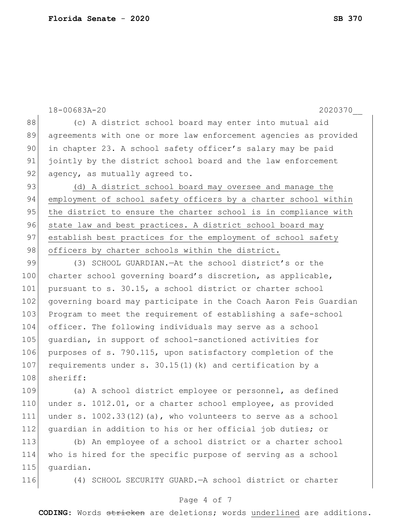|     | 18-00683A-20<br>2020370                                          |
|-----|------------------------------------------------------------------|
| 88  | (c) A district school board may enter into mutual aid            |
| 89  | agreements with one or more law enforcement agencies as provided |
| 90  | in chapter 23. A school safety officer's salary may be paid      |
| 91  | jointly by the district school board and the law enforcement     |
| 92  | agency, as mutually agreed to.                                   |
| 93  | (d) A district school board may oversee and manage the           |
| 94  | employment of school safety officers by a charter school within  |
| 95  | the district to ensure the charter school is in compliance with  |
| 96  | state law and best practices. A district school board may        |
| 97  | establish best practices for the employment of school safety     |
| 98  | officers by charter schools within the district.                 |
| 99  | (3) SCHOOL GUARDIAN. - At the school district's or the           |
| 100 | charter school governing board's discretion, as applicable,      |
| 101 | pursuant to s. 30.15, a school district or charter school        |
| 102 | governing board may participate in the Coach Aaron Feis Guardian |
| 103 | Program to meet the requirement of establishing a safe-school    |
| 104 | officer. The following individuals may serve as a school         |
| 105 | quardian, in support of school-sanctioned activities for         |
| 106 | purposes of s. 790.115, upon satisfactory completion of the      |
| 107 | requirements under s. 30.15(1)(k) and certification by a         |
| 108 | sheriff:                                                         |
| 109 | (a) A school district employee or personnel, as defined          |
| 110 | under s. 1012.01, or a charter school employee, as provided      |
| 111 | under s. $1002.33(12)$ (a), who volunteers to serve as a school  |
| 112 | quardian in addition to his or her official job duties; or       |
| 113 | (b) An employee of a school district or a charter school         |
| 114 | who is hired for the specific purpose of serving as a school     |
| 115 | quardian.                                                        |
| 116 | (4) SCHOOL SECURITY GUARD. - A school district or charter        |

# Page 4 of 7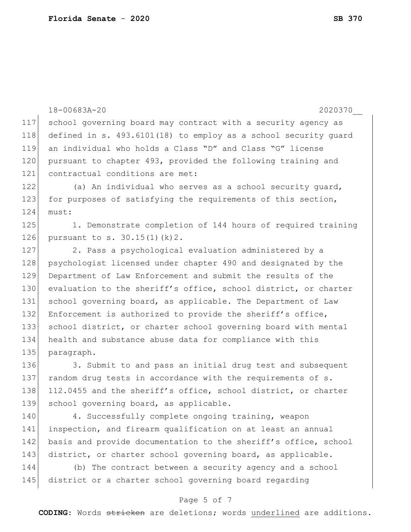|     | $18 - 00683A - 20$<br>2020370                                   |
|-----|-----------------------------------------------------------------|
| 117 | school governing board may contract with a security agency as   |
| 118 | defined in s. 493.6101(18) to employ as a school security quard |
| 119 | an individual who holds a Class "D" and Class "G" license       |
| 120 | pursuant to chapter 493, provided the following training and    |
| 121 | contractual conditions are met:                                 |
| 122 | (a) An individual who serves as a school security quard,        |
| 123 | for purposes of satisfying the requirements of this section,    |
| 124 | must:                                                           |
| 125 | 1. Demonstrate completion of 144 hours of required training     |
| 126 | pursuant to s. 30.15(1)(k)2.                                    |
| 127 | 2. Pass a psychological evaluation administered by a            |
| 128 | psychologist licensed under chapter 490 and designated by the   |
| 129 | Department of Law Enforcement and submit the results of the     |
| 130 | evaluation to the sheriff's office, school district, or charter |
| 131 | school governing board, as applicable. The Department of Law    |
| 132 | Enforcement is authorized to provide the sheriff's office,      |
| 133 | school district, or charter school governing board with mental  |
| 134 | health and substance abuse data for compliance with this        |
| 135 | paragraph.                                                      |
| 136 | 3. Submit to and pass an initial drug test and subsequent       |
| 137 | random drug tests in accordance with the requirements of s.     |
| 138 | 112.0455 and the sheriff's office, school district, or charter  |
| 139 | school governing board, as applicable.                          |
| 140 | 4. Successfully complete ongoing training, weapon               |
| 141 | inspection, and firearm qualification on at least an annual     |
| 142 | basis and provide documentation to the sheriff's office, school |
| 143 | district, or charter school governing board, as applicable.     |
| 144 | (b) The contract between a security agency and a school         |
| 145 | district or a charter school governing board regarding          |

# Page 5 of 7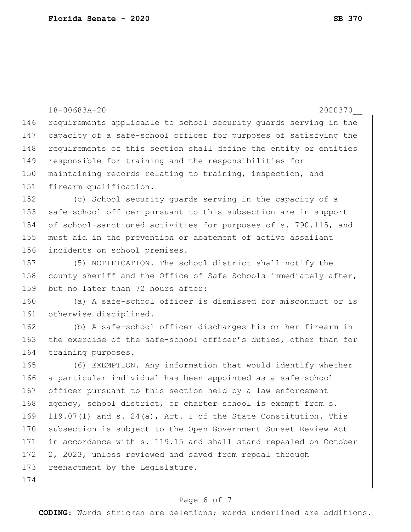|     | 18-00683A-20<br>2020370                                          |
|-----|------------------------------------------------------------------|
| 146 | requirements applicable to school security guards serving in the |
| 147 | capacity of a safe-school officer for purposes of satisfying the |
| 148 | requirements of this section shall define the entity or entities |
| 149 | responsible for training and the responsibilities for            |
| 150 | maintaining records relating to training, inspection, and        |
| 151 | firearm qualification.                                           |
| 152 | (c) School security guards serving in the capacity of a          |
| 153 | safe-school officer pursuant to this subsection are in support   |
| 154 | of school-sanctioned activities for purposes of s. 790.115, and  |
| 155 | must aid in the prevention or abatement of active assailant      |
| 156 | incidents on school premises.                                    |
| 157 | (5) NOTIFICATION. - The school district shall notify the         |
| 158 | county sheriff and the Office of Safe Schools immediately after, |
| 159 | but no later than 72 hours after:                                |
| 160 | (a) A safe-school officer is dismissed for misconduct or is      |
| 161 | otherwise disciplined.                                           |
| 162 | (b) A safe-school officer discharges his or her firearm in       |
| 163 | the exercise of the safe-school officer's duties, other than for |
| 164 | training purposes.                                               |
| 165 | (6) EXEMPTION. - Any information that would identify whether     |
| 166 | a particular individual has been appointed as a safe-school      |
| 167 | officer pursuant to this section held by a law enforcement       |
| 168 | agency, school district, or charter school is exempt from s.     |
| 169 | 119.07(1) and s. 24(a), Art. I of the State Constitution. This   |
| 170 | subsection is subject to the Open Government Sunset Review Act   |
| 171 | in accordance with s. 119.15 and shall stand repealed on October |
| 172 | 2, 2023, unless reviewed and saved from repeal through           |
| 173 | reenactment by the Legislature.                                  |
| 174 |                                                                  |
|     |                                                                  |

#### Page 6 of 7